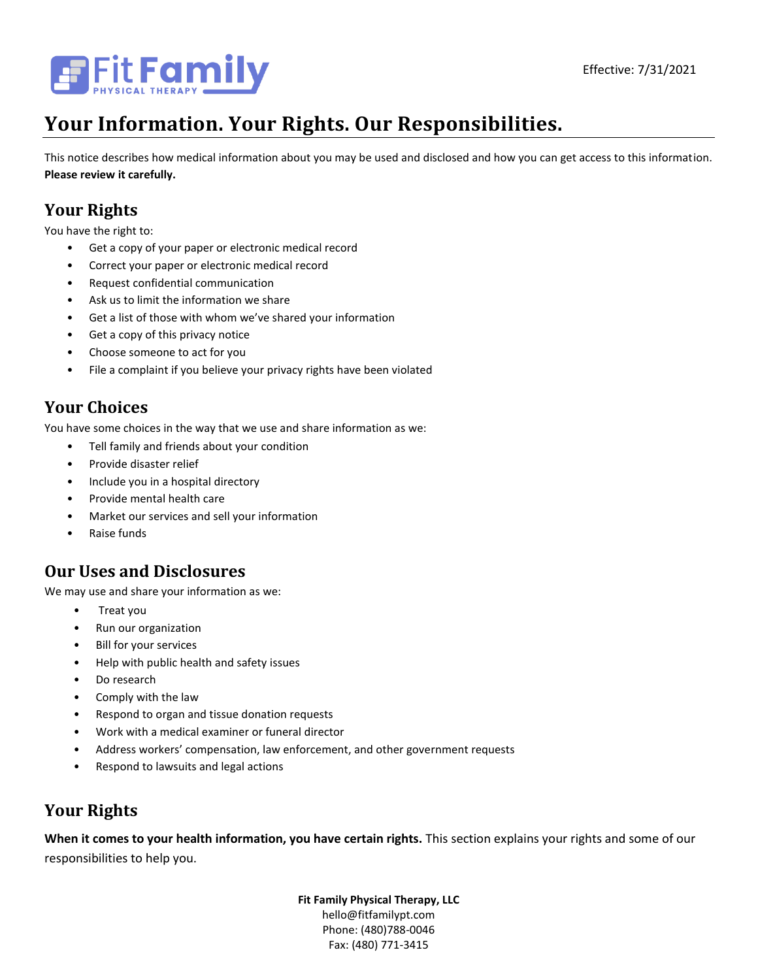

# **Your Information. Your Rights. Our Responsibilities.**

This notice describes how medical information about you may be used and disclosed and how you can get access to this information. **Please review it carefully.**

# **Your Rights**

You have the right to:

- Get a copy of your paper or electronic medical record
- Correct your paper or electronic medical record
- Request confidential communication
- Ask us to limit the information we share
- Get a list of those with whom we've shared your information
- Get a copy of this privacy notice
- Choose someone to act for you
- File a complaint if you believe your privacy rights have been violated

# **Your Choices**

You have some choices in the way that we use and share information as we:

- Tell family and friends about your condition
- Provide disaster relief
- Include you in a hospital directory
- Provide mental health care
- Market our services and sell your information
- Raise funds

### **Our Uses and Disclosures**

We may use and share your information as we:

- Treat you
- Run our organization
- Bill for your services
- Help with public health and safety issues
- Do research
- Comply with the law
- Respond to organ and tissue donation requests
- Work with a medical examiner or funeral director
- Address workers' compensation, law enforcement, and other government requests
- Respond to lawsuits and legal actions

## **Your Rights**

**When it comes to your health information, you have certain rights.** This section explains your rights and some of our responsibilities to help you.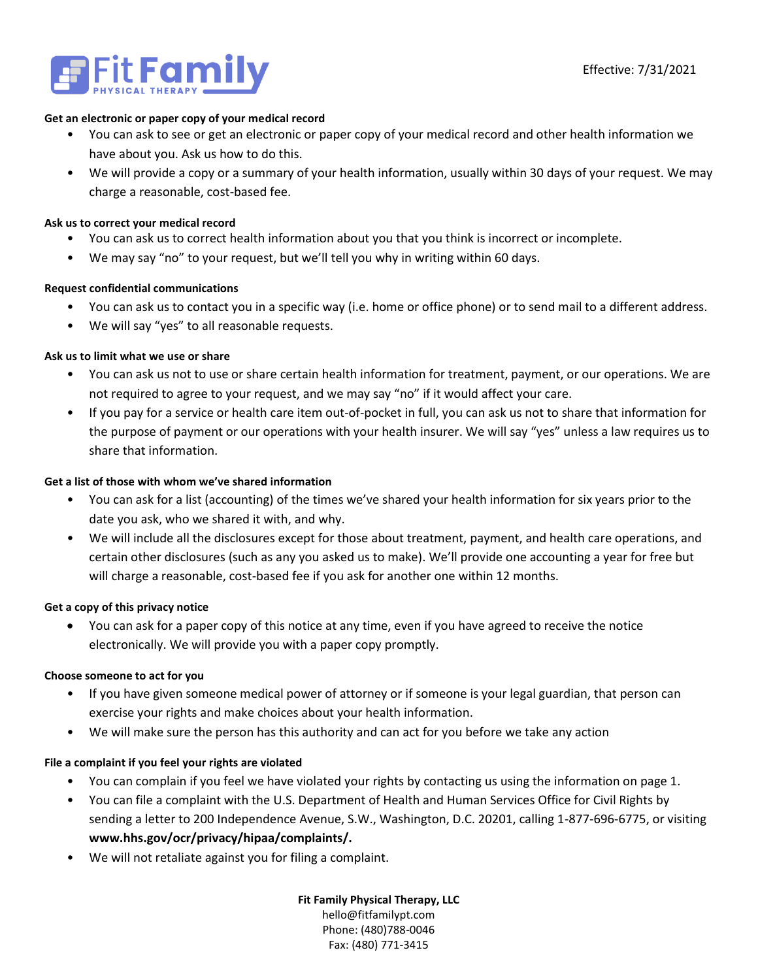

#### **Get an electronic or paper copy of your medical record**

- You can ask to see or get an electronic or paper copy of your medical record and other health information we have about you. Ask us how to do this.
- We will provide a copy or a summary of your health information, usually within 30 days of your request. We may charge a reasonable, cost-based fee.

### **Ask us to correct your medical record**

- You can ask us to correct health information about you that you think is incorrect or incomplete.
- We may say "no" to your request, but we'll tell you why in writing within 60 days.

### **Request confidential communications**

- You can ask us to contact you in a specific way (i.e. home or office phone) or to send mail to a different address.
- We will say "yes" to all reasonable requests.

### **Ask us to limit what we use or share**

- You can ask us not to use or share certain health information for treatment, payment, or our operations. We are not required to agree to your request, and we may say "no" if it would affect your care.
- If you pay for a service or health care item out-of-pocket in full, you can ask us not to share that information for the purpose of payment or our operations with your health insurer. We will say "yes" unless a law requires us to share that information.

### **Get a list of those with whom we've shared information**

- You can ask for a list (accounting) of the times we've shared your health information for six years prior to the date you ask, who we shared it with, and why.
- We will include all the disclosures except for those about treatment, payment, and health care operations, and certain other disclosures (such as any you asked us to make). We'll provide one accounting a year for free but will charge a reasonable, cost-based fee if you ask for another one within 12 months.

#### **Get a copy of this privacy notice**

• You can ask for a paper copy of this notice at any time, even if you have agreed to receive the notice electronically. We will provide you with a paper copy promptly.

#### **Choose someone to act for you**

- If you have given someone medical power of attorney or if someone is your legal guardian, that person can exercise your rights and make choices about your health information.
- We will make sure the person has this authority and can act for you before we take any action

### **File a complaint if you feel your rights are violated**

- You can complain if you feel we have violated your rights by contacting us using the information on page 1.
- You can file a complaint with the U.S. Department of Health and Human Services Office for Civil Rights by sending a letter to 200 Independence Avenue, S.W., Washington, D.C. 20201, calling 1-877-696-6775, or visiting **www.hhs.gov/ocr/privacy/hipaa/complaints/.**
- We will not retaliate against you for filing a complaint.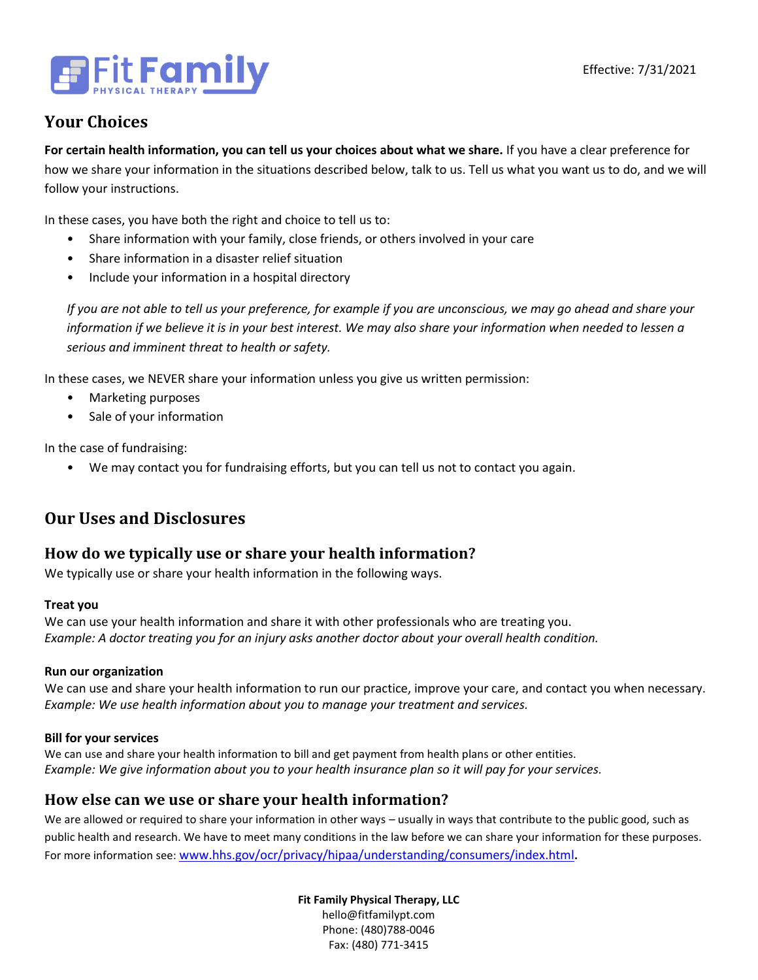

# **Your Choices**

**For certain health information, you can tell us your choices about what we share.** If you have a clear preference for how we share your information in the situations described below, talk to us. Tell us what you want us to do, and we will follow your instructions.

In these cases, you have both the right and choice to tell us to:

- Share information with your family, close friends, or others involved in your care
- Share information in a disaster relief situation
- Include your information in a hospital directory

*If you are not able to tell us your preference, for example if you are unconscious, we may go ahead and share your information if we believe it is in your best interest. We may also share your information when needed to lessen a serious and imminent threat to health or safety.*

In these cases, we NEVER share your information unless you give us written permission:

- Marketing purposes
- Sale of your information

In the case of fundraising:

• We may contact you for fundraising efforts, but you can tell us not to contact you again.

# **Our Uses and Disclosures**

### **How do we typically use or share your health information?**

We typically use or share your health information in the following ways.

### **Treat you**

We can use your health information and share it with other professionals who are treating you. *Example: A doctor treating you for an injury asks another doctor about your overall health condition.*

### **Run our organization**

We can use and share your health information to run our practice, improve your care, and contact you when necessary. *Example: We use health information about you to manage your treatment and services.* 

### **Bill for your services**

We can use and share your health information to bill and get payment from health plans or other entities. *Example: We give information about you to your health insurance plan so it will pay for your services.* 

### **How else can we use or share your health information?**

We are allowed or required to share your information in other ways – usually in ways that contribute to the public good, such as public health and research. We have to meet many conditions in the law before we can share your information for these purposes. For more information see: [www.hhs.gov/ocr/privacy/hipaa/understanding/consumers/index.html](http://www.hhs.gov/ocr/privacy/hipaa/understanding/consumers/index.html)**.**